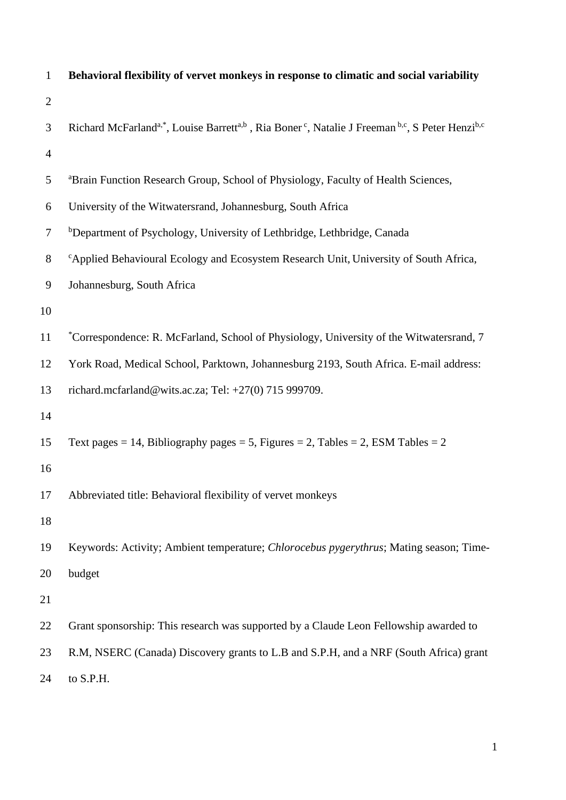| $\mathbf{1}$   | Behavioral flexibility of vervet monkeys in response to climatic and social variability                                                                     |
|----------------|-------------------------------------------------------------------------------------------------------------------------------------------------------------|
| $\overline{2}$ |                                                                                                                                                             |
| 3              | Richard McFarland <sup>a,*</sup> , Louise Barrett <sup>a,b</sup> , Ria Boner <sup>c</sup> , Natalie J Freeman <sup>b,c</sup> , S Peter Henzi <sup>b,c</sup> |
| $\overline{4}$ |                                                                                                                                                             |
| 5              | <sup>a</sup> Brain Function Research Group, School of Physiology, Faculty of Health Sciences,                                                               |
| 6              | University of the Witwatersrand, Johannesburg, South Africa                                                                                                 |
| $\overline{7}$ | <sup>b</sup> Department of Psychology, University of Lethbridge, Lethbridge, Canada                                                                         |
| $8\,$          | <sup>c</sup> Applied Behavioural Ecology and Ecosystem Research Unit, University of South Africa,                                                           |
| 9              | Johannesburg, South Africa                                                                                                                                  |
| 10             |                                                                                                                                                             |
| 11             | *Correspondence: R. McFarland, School of Physiology, University of the Witwatersrand, 7                                                                     |
| 12             | York Road, Medical School, Parktown, Johannesburg 2193, South Africa. E-mail address:                                                                       |
| 13             | richard.mcfarland@wits.ac.za; Tel: +27(0) 715 999709.                                                                                                       |
| 14             |                                                                                                                                                             |
| 15             | Text pages = 14, Bibliography pages = 5, Figures = 2, Tables = 2, ESM Tables = 2                                                                            |
| 16             |                                                                                                                                                             |
| 17             | Abbreviated title: Behavioral flexibility of vervet monkeys                                                                                                 |
| 18             |                                                                                                                                                             |
| 19             | Keywords: Activity; Ambient temperature; Chlorocebus pygerythrus; Mating season; Time-                                                                      |
| 20             | budget                                                                                                                                                      |
| 21             |                                                                                                                                                             |
| 22             | Grant sponsorship: This research was supported by a Claude Leon Fellowship awarded to                                                                       |
| 23             | R.M, NSERC (Canada) Discovery grants to L.B and S.P.H, and a NRF (South Africa) grant                                                                       |
| 24             | to S.P.H.                                                                                                                                                   |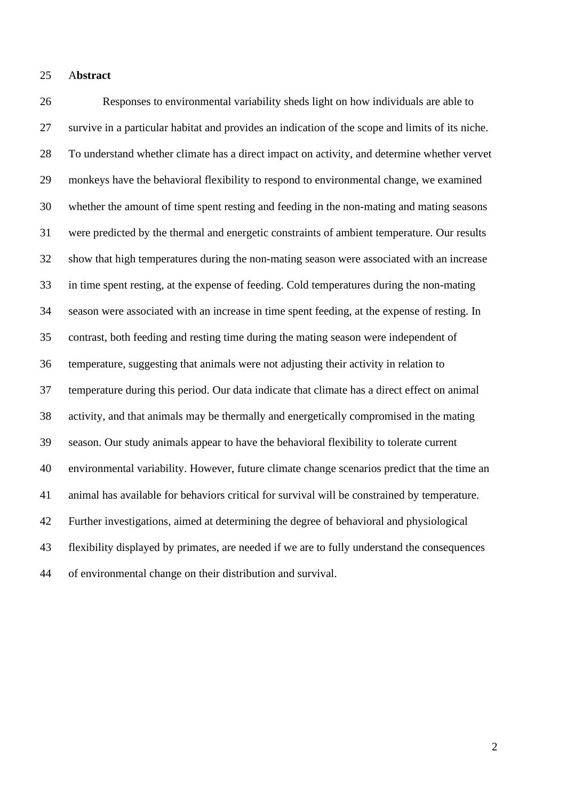## A**bstract**

 Responses to environmental variability sheds light on how individuals are able to survive in a particular habitat and provides an indication of the scope and limits of its niche. To understand whether climate has a direct impact on activity, and determine whether vervet monkeys have the behavioral flexibility to respond to environmental change, we examined whether the amount of time spent resting and feeding in the non-mating and mating seasons were predicted by the thermal and energetic constraints of ambient temperature. Our results show that high temperatures during the non-mating season were associated with an increase in time spent resting, at the expense of feeding. Cold temperatures during the non-mating season were associated with an increase in time spent feeding, at the expense of resting. In contrast, both feeding and resting time during the mating season were independent of temperature, suggesting that animals were not adjusting their activity in relation to temperature during this period. Our data indicate that climate has a direct effect on animal activity, and that animals may be thermally and energetically compromised in the mating season. Our study animals appear to have the behavioral flexibility to tolerate current environmental variability. However, future climate change scenarios predict that the time an animal has available for behaviors critical for survival will be constrained by temperature. Further investigations, aimed at determining the degree of behavioral and physiological flexibility displayed by primates, are needed if we are to fully understand the consequences of environmental change on their distribution and survival.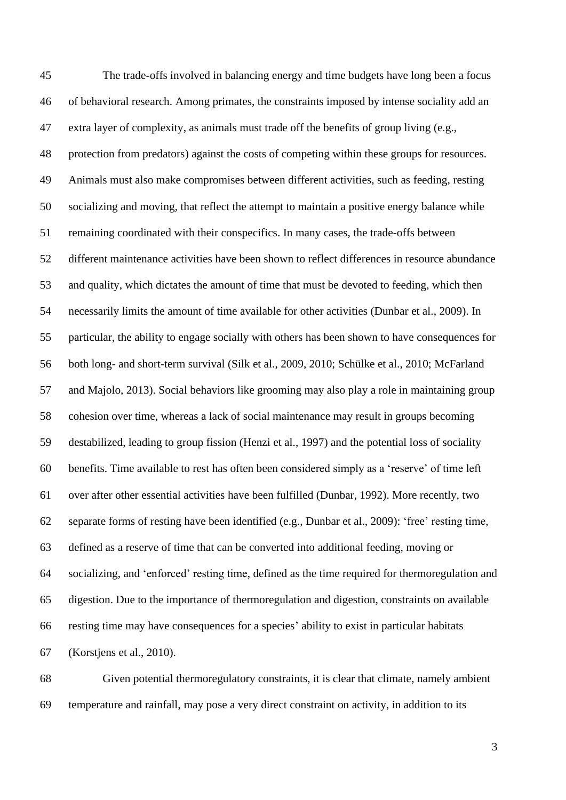The trade-offs involved in balancing energy and time budgets have long been a focus of behavioral research. Among primates, the constraints imposed by intense sociality add an extra layer of complexity, as animals must trade off the benefits of group living (e.g., protection from predators) against the costs of competing within these groups for resources. Animals must also make compromises between different activities, such as feeding, resting socializing and moving, that reflect the attempt to maintain a positive energy balance while remaining coordinated with their conspecifics. In many cases, the trade-offs between different maintenance activities have been shown to reflect differences in resource abundance and quality, which dictates the amount of time that must be devoted to feeding, which then necessarily limits the amount of time available for other activities (Dunbar et al., 2009). In particular, the ability to engage socially with others has been shown to have consequences for both long- and short-term survival (Silk et al., 2009, 2010; Schülke et al., 2010; McFarland and Majolo, 2013). Social behaviors like grooming may also play a role in maintaining group cohesion over time, whereas a lack of social maintenance may result in groups becoming destabilized, leading to group fission (Henzi et al., 1997) and the potential loss of sociality benefits. Time available to rest has often been considered simply as a 'reserve' of time left over after other essential activities have been fulfilled (Dunbar, 1992). More recently, two separate forms of resting have been identified (e.g., Dunbar et al., 2009): 'free' resting time, defined as a reserve of time that can be converted into additional feeding, moving or socializing, and 'enforced' resting time, defined as the time required for thermoregulation and digestion. Due to the importance of thermoregulation and digestion, constraints on available resting time may have consequences for a species' ability to exist in particular habitats (Korstjens et al., 2010).

 Given potential thermoregulatory constraints, it is clear that climate, namely ambient temperature and rainfall, may pose a very direct constraint on activity, in addition to its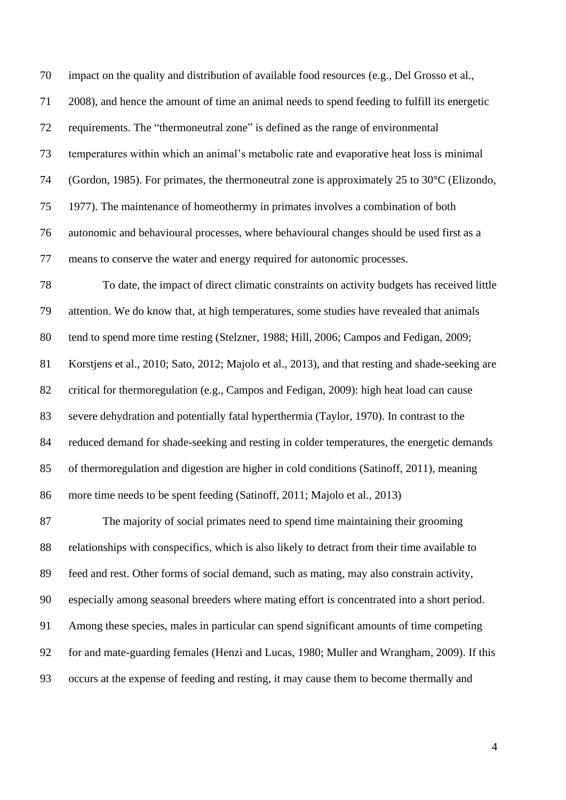impact on the quality and distribution of available food resources (e.g., Del Grosso et al., 2008), and hence the amount of time an animal needs to spend feeding to fulfill its energetic requirements. The "thermoneutral zone" is defined as the range of environmental temperatures within which an animal's metabolic rate and evaporative heat loss is minimal (Gordon, 1985). For primates, the thermoneutral zone is approximately 25 to 30°C (Elizondo, 1977). The maintenance of homeothermy in primates involves a combination of both autonomic and behavioural processes, where behavioural changes should be used first as a means to conserve the water and energy required for autonomic processes.

 To date, the impact of direct climatic constraints on activity budgets has received little attention. We do know that, at high temperatures, some studies have revealed that animals tend to spend more time resting (Stelzner, 1988; Hill, 2006; Campos and Fedigan, 2009; Korstjens et al., 2010; Sato, 2012; Majolo et al., 2013), and that resting and shade-seeking are critical for thermoregulation (e.g., Campos and Fedigan, 2009): high heat load can cause severe dehydration and potentially fatal hyperthermia (Taylor, 1970). In contrast to the reduced demand for shade-seeking and resting in colder temperatures, the energetic demands of thermoregulation and digestion are higher in cold conditions (Satinoff, 2011), meaning more time needs to be spent feeding (Satinoff, 2011; Majolo et al., 2013)

 The majority of social primates need to spend time maintaining their grooming relationships with conspecifics, which is also likely to detract from their time available to feed and rest. Other forms of social demand, such as mating, may also constrain activity, especially among seasonal breeders where mating effort is concentrated into a short period. Among these species, males in particular can spend significant amounts of time competing for and mate-guarding females (Henzi and Lucas, 1980; Muller and Wrangham, 2009). If this occurs at the expense of feeding and resting, it may cause them to become thermally and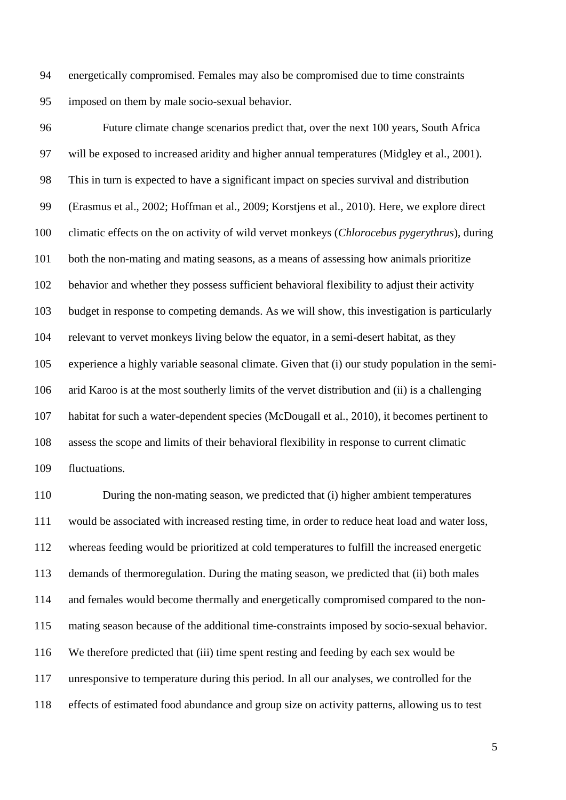energetically compromised. Females may also be compromised due to time constraints imposed on them by male socio-sexual behavior.

 Future climate change scenarios predict that, over the next 100 years, South Africa will be exposed to increased aridity and higher annual temperatures (Midgley et al., 2001). This in turn is expected to have a significant impact on species survival and distribution (Erasmus et al., 2002; Hoffman et al., 2009; Korstjens et al., 2010). Here, we explore direct climatic effects on the on activity of wild vervet monkeys (*Chlorocebus pygerythrus*), during both the non-mating and mating seasons, as a means of assessing how animals prioritize behavior and whether they possess sufficient behavioral flexibility to adjust their activity budget in response to competing demands. As we will show, this investigation is particularly relevant to vervet monkeys living below the equator, in a semi-desert habitat, as they experience a highly variable seasonal climate. Given that (i) our study population in the semi- arid Karoo is at the most southerly limits of the vervet distribution and (ii) is a challenging habitat for such a water-dependent species (McDougall et al., 2010), it becomes pertinent to assess the scope and limits of their behavioral flexibility in response to current climatic fluctuations.

 During the non-mating season, we predicted that (i) higher ambient temperatures would be associated with increased resting time, in order to reduce heat load and water loss, whereas feeding would be prioritized at cold temperatures to fulfill the increased energetic demands of thermoregulation. During the mating season, we predicted that (ii) both males and females would become thermally and energetically compromised compared to the non- mating season because of the additional time-constraints imposed by socio-sexual behavior. We therefore predicted that (iii) time spent resting and feeding by each sex would be unresponsive to temperature during this period. In all our analyses, we controlled for the effects of estimated food abundance and group size on activity patterns, allowing us to test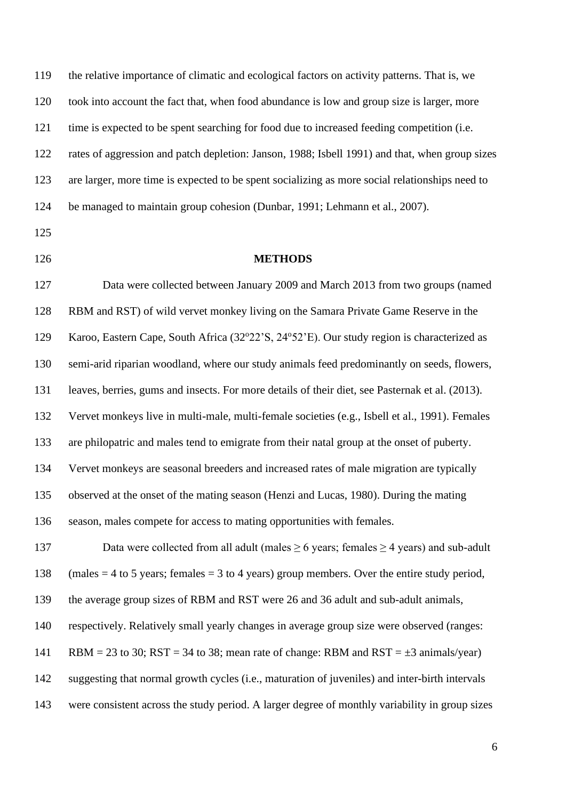the relative importance of climatic and ecological factors on activity patterns. That is, we took into account the fact that, when food abundance is low and group size is larger, more time is expected to be spent searching for food due to increased feeding competition (i.e. rates of aggression and patch depletion: Janson, 1988; Isbell 1991) and that, when group sizes are larger, more time is expected to be spent socializing as more social relationships need to be managed to maintain group cohesion (Dunbar, 1991; Lehmann et al., 2007).

- 
- 

## **METHODS**

 Data were collected between January 2009 and March 2013 from two groups (named RBM and RST) of wild vervet monkey living on the Samara Private Game Reserve in the 129 Karoo, Eastern Cape, South Africa (32°22'S, 24°52'E). Our study region is characterized as semi-arid riparian woodland, where our study animals feed predominantly on seeds, flowers, leaves, berries, gums and insects. For more details of their diet, see Pasternak et al. (2013). Vervet monkeys live in multi-male, multi-female societies (e.g., Isbell et al., 1991). Females are philopatric and males tend to emigrate from their natal group at the onset of puberty. Vervet monkeys are seasonal breeders and increased rates of male migration are typically observed at the onset of the mating season (Henzi and Lucas, 1980). During the mating season, males compete for access to mating opportunities with females. 137 Data were collected from all adult (males  $\geq$  6 years; females  $\geq$  4 years) and sub-adult

138 (males  $=$  4 to 5 years; females  $=$  3 to 4 years) group members. Over the entire study period,

the average group sizes of RBM and RST were 26 and 36 adult and sub-adult animals,

respectively. Relatively small yearly changes in average group size were observed (ranges:

141 RBM = 23 to 30; RST = 34 to 38; mean rate of change: RBM and RST =  $\pm 3$  animals/year)

suggesting that normal growth cycles (i.e., maturation of juveniles) and inter-birth intervals

were consistent across the study period. A larger degree of monthly variability in group sizes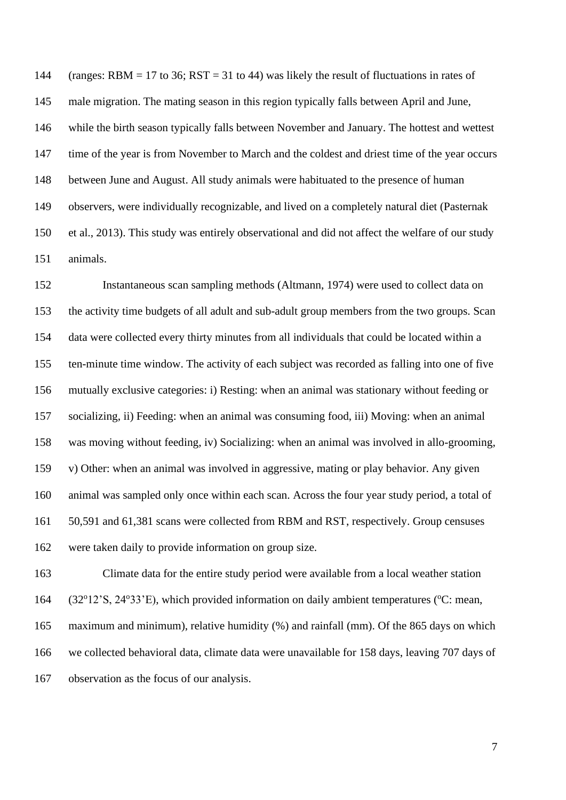144 (ranges: RBM = 17 to 36; RST = 31 to 44) was likely the result of fluctuations in rates of male migration. The mating season in this region typically falls between April and June, while the birth season typically falls between November and January. The hottest and wettest time of the year is from November to March and the coldest and driest time of the year occurs between June and August. All study animals were habituated to the presence of human observers, were individually recognizable, and lived on a completely natural diet (Pasternak et al., 2013). This study was entirely observational and did not affect the welfare of our study animals.

 Instantaneous scan sampling methods (Altmann, 1974) were used to collect data on the activity time budgets of all adult and sub-adult group members from the two groups. Scan data were collected every thirty minutes from all individuals that could be located within a ten-minute time window. The activity of each subject was recorded as falling into one of five mutually exclusive categories: i) Resting: when an animal was stationary without feeding or socializing, ii) Feeding: when an animal was consuming food, iii) Moving: when an animal was moving without feeding, iv) Socializing: when an animal was involved in allo-grooming, v) Other: when an animal was involved in aggressive, mating or play behavior. Any given animal was sampled only once within each scan. Across the four year study period, a total of 50,591 and 61,381 scans were collected from RBM and RST, respectively. Group censuses were taken daily to provide information on group size.

 Climate data for the entire study period were available from a local weather station 164 (32°12'S, 24°33'E), which provided information on daily ambient temperatures (°C: mean, maximum and minimum), relative humidity (%) and rainfall (mm). Of the 865 days on which we collected behavioral data, climate data were unavailable for 158 days, leaving 707 days of observation as the focus of our analysis.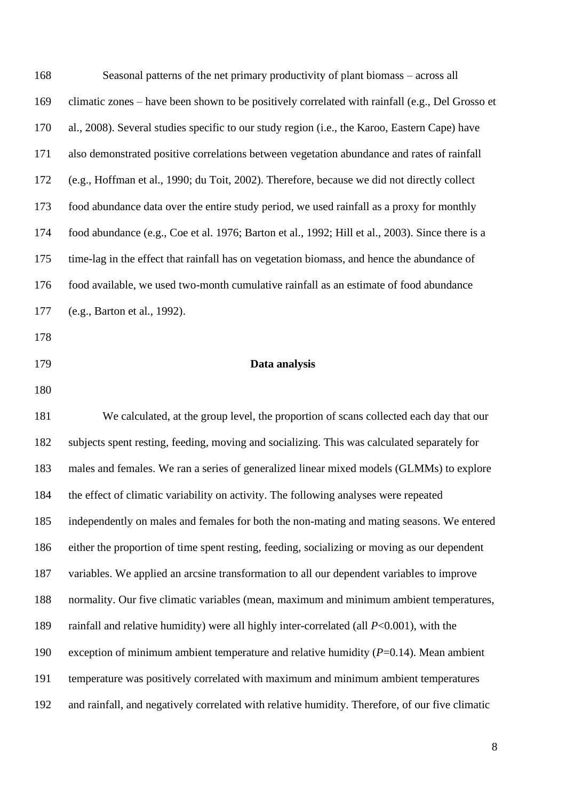| 168 | Seasonal patterns of the net primary productivity of plant biomass – across all                  |
|-----|--------------------------------------------------------------------------------------------------|
| 169 | climatic zones – have been shown to be positively correlated with rainfall (e.g., Del Grosso et  |
| 170 | al., 2008). Several studies specific to our study region (i.e., the Karoo, Eastern Cape) have    |
| 171 | also demonstrated positive correlations between vegetation abundance and rates of rainfall       |
| 172 | (e.g., Hoffman et al., 1990; du Toit, 2002). Therefore, because we did not directly collect      |
| 173 | food abundance data over the entire study period, we used rainfall as a proxy for monthly        |
| 174 | food abundance (e.g., Coe et al. 1976; Barton et al., 1992; Hill et al., 2003). Since there is a |
| 175 | time-lag in the effect that rainfall has on vegetation biomass, and hence the abundance of       |
| 176 | food available, we used two-month cumulative rainfall as an estimate of food abundance           |
| 177 | (e.g., Barton et al., 1992).                                                                     |
| 178 |                                                                                                  |
| 179 | Data analysis                                                                                    |
| 180 |                                                                                                  |
| 181 | We calculated, at the group level, the proportion of scans collected each day that our           |
| 182 | subjects spent resting, feeding, moving and socializing. This was calculated separately for      |
| 183 | males and females. We ran a series of generalized linear mixed models (GLMMs) to explore         |
| 184 | the effect of climatic variability on activity. The following analyses were repeated             |
| 185 | independently on males and females for both the non-mating and mating seasons. We entered        |
| 186 |                                                                                                  |
|     | either the proportion of time spent resting, feeding, socializing or moving as our dependent     |

variables. We applied an arcsine transformation to all our dependent variables to improve

normality. Our five climatic variables (mean, maximum and minimum ambient temperatures,

rainfall and relative humidity) were all highly inter-correlated (all *P*<0.001), with the

exception of minimum ambient temperature and relative humidity (*P*=0.14). Mean ambient

temperature was positively correlated with maximum and minimum ambient temperatures

and rainfall, and negatively correlated with relative humidity. Therefore, of our five climatic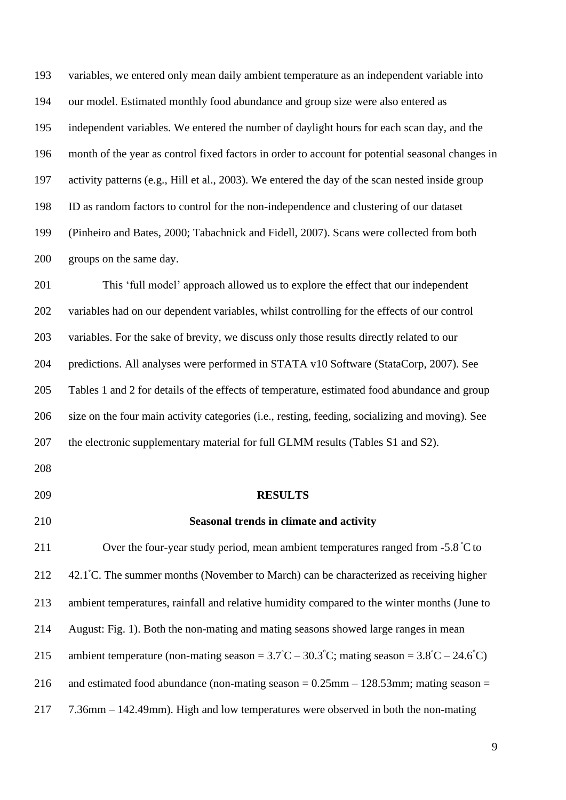variables, we entered only mean daily ambient temperature as an independent variable into our model. Estimated monthly food abundance and group size were also entered as independent variables. We entered the number of daylight hours for each scan day, and the month of the year as control fixed factors in order to account for potential seasonal changes in activity patterns (e.g., Hill et al., 2003). We entered the day of the scan nested inside group ID as random factors to control for the non-independence and clustering of our dataset (Pinheiro and Bates, 2000; Tabachnick and Fidell, 2007). Scans were collected from both groups on the same day.

 This 'full model' approach allowed us to explore the effect that our independent variables had on our dependent variables, whilst controlling for the effects of our control variables. For the sake of brevity, we discuss only those results directly related to our predictions. All analyses were performed in STATA v10 Software (StataCorp, 2007). See Tables 1 and 2 for details of the effects of temperature, estimated food abundance and group size on the four main activity categories (i.e., resting, feeding, socializing and moving). See 207 the electronic supplementary material for full GLMM results (Tables S1 and S2).

## **RESULTS**

Over the four-year study period, mean ambient temperatures ranged from  $-5.8 \degree C$  to 212  $\,$  42.1 °C. The summer months (November to March) can be characterized as receiving higher ambient temperatures, rainfall and relative humidity compared to the winter months (June to August: Fig. 1). Both the non-mating and mating seasons showed large ranges in mean 215 ambient temperature (non-mating season =  $3.7^{\circ}C - 30.3^{\circ}C$ ; mating season =  $3.8^{\circ}C - 24.6^{\circ}C$ ) 216 and estimated food abundance (non-mating season  $= 0.25$ mm – 128.53mm; mating season  $=$ 7.36mm – 142.49mm). High and low temperatures were observed in both the non-mating

**Seasonal trends in climate and activity**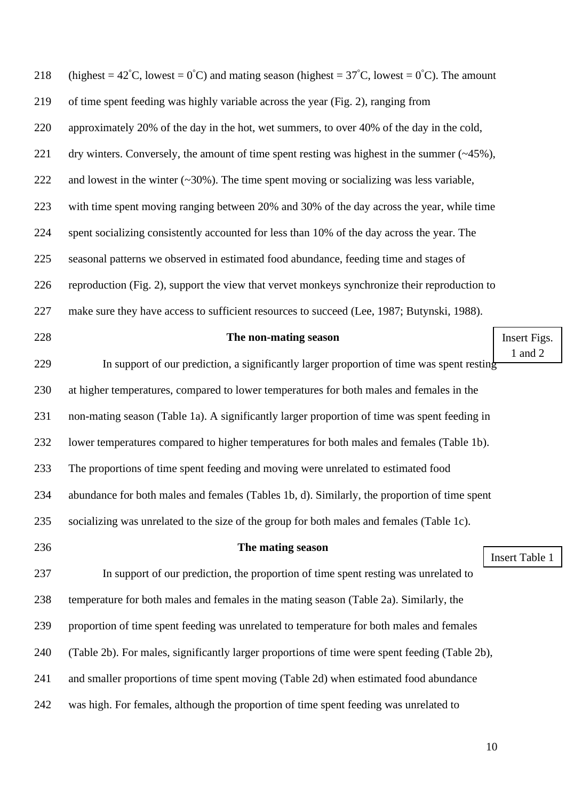| 242 | was high. For females, although the proportion of time spent feeding was unrelated to                                               |                       |
|-----|-------------------------------------------------------------------------------------------------------------------------------------|-----------------------|
| 241 | and smaller proportions of time spent moving (Table 2d) when estimated food abundance                                               |                       |
| 240 | (Table 2b). For males, significantly larger proportions of time were spent feeding (Table 2b),                                      |                       |
| 239 | proportion of time spent feeding was unrelated to temperature for both males and females                                            |                       |
| 238 | temperature for both males and females in the mating season (Table 2a). Similarly, the                                              |                       |
| 237 | In support of our prediction, the proportion of time spent resting was unrelated to                                                 |                       |
| 236 | The mating season                                                                                                                   | <b>Insert Table 1</b> |
| 235 | socializing was unrelated to the size of the group for both males and females (Table 1c).                                           |                       |
| 234 | abundance for both males and females (Tables 1b, d). Similarly, the proportion of time spent                                        |                       |
| 233 | The proportions of time spent feeding and moving were unrelated to estimated food                                                   |                       |
| 232 | lower temperatures compared to higher temperatures for both males and females (Table 1b).                                           |                       |
| 231 | non-mating season (Table 1a). A significantly larger proportion of time was spent feeding in                                        |                       |
| 230 | at higher temperatures, compared to lower temperatures for both males and females in the                                            |                       |
| 229 | In support of our prediction, a significantly larger proportion of time was spent resting                                           | 1 and $2$             |
| 228 | The non-mating season                                                                                                               | Insert Figs.          |
| 227 | make sure they have access to sufficient resources to succeed (Lee, 1987; Butynski, 1988).                                          |                       |
| 226 | reproduction (Fig. 2), support the view that vervet monkeys synchronize their reproduction to                                       |                       |
| 225 | seasonal patterns we observed in estimated food abundance, feeding time and stages of                                               |                       |
| 224 | spent socializing consistently accounted for less than 10% of the day across the year. The                                          |                       |
| 223 | with time spent moving ranging between 20% and 30% of the day across the year, while time                                           |                       |
| 222 | and lowest in the winter $(\sim 30\%)$ . The time spent moving or socializing was less variable,                                    |                       |
| 221 | dry winters. Conversely, the amount of time spent resting was highest in the summer $(\sim45\%)$ ,                                  |                       |
| 220 | approximately 20% of the day in the hot, wet summers, to over 40% of the day in the cold,                                           |                       |
| 219 | of time spent feeding was highly variable across the year (Fig. 2), ranging from                                                    |                       |
| 218 | (highest = $42^{\circ}$ C, lowest = $0^{\circ}$ C) and mating season (highest = $37^{\circ}$ C, lowest = $0^{\circ}$ C). The amount |                       |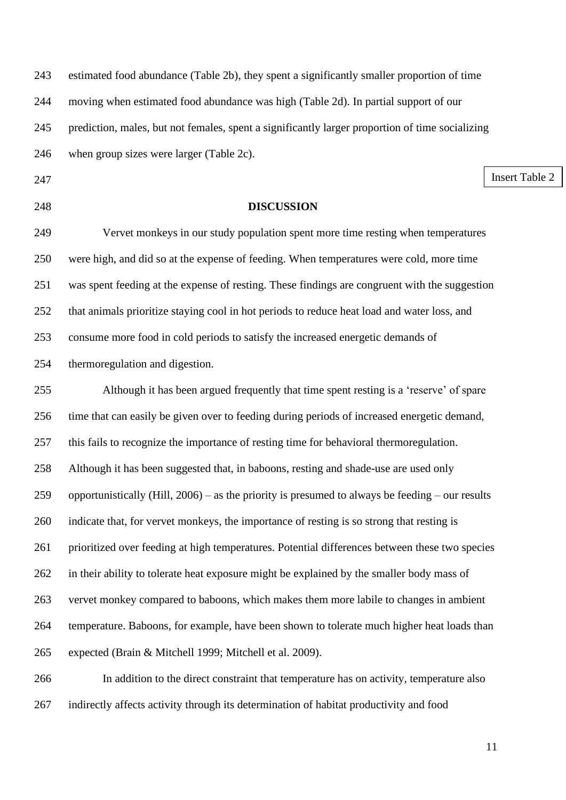| 243 | estimated food abundance (Table 2b), they spent a significantly smaller proportion of time         |
|-----|----------------------------------------------------------------------------------------------------|
| 244 | moving when estimated food abundance was high (Table 2d). In partial support of our                |
| 245 | prediction, males, but not females, spent a significantly larger proportion of time socializing    |
| 246 | when group sizes were larger (Table 2c).                                                           |
| 247 | <b>Insert Table 2</b>                                                                              |
| 248 | <b>DISCUSSION</b>                                                                                  |
| 249 | Vervet monkeys in our study population spent more time resting when temperatures                   |
| 250 | were high, and did so at the expense of feeding. When temperatures were cold, more time            |
| 251 | was spent feeding at the expense of resting. These findings are congruent with the suggestion      |
| 252 | that animals prioritize staying cool in hot periods to reduce heat load and water loss, and        |
| 253 | consume more food in cold periods to satisfy the increased energetic demands of                    |
| 254 | thermoregulation and digestion.                                                                    |
| 255 | Although it has been argued frequently that time spent resting is a 'reserve' of spare             |
| 256 | time that can easily be given over to feeding during periods of increased energetic demand,        |
| 257 | this fails to recognize the importance of resting time for behavioral thermoregulation.            |
| 258 | Although it has been suggested that, in baboons, resting and shade-use are used only               |
| 259 | opportunistically (Hill, $2006$ ) – as the priority is presumed to always be feeding – our results |
| 260 | indicate that, for vervet monkeys, the importance of resting is so strong that resting is          |
| 261 | prioritized over feeding at high temperatures. Potential differences between these two species     |
| 262 | in their ability to tolerate heat exposure might be explained by the smaller body mass of          |
| 263 | vervet monkey compared to baboons, which makes them more labile to changes in ambient              |
| 264 | temperature. Baboons, for example, have been shown to tolerate much higher heat loads than         |
| 265 | expected (Brain & Mitchell 1999; Mitchell et al. 2009).                                            |
| 266 | In addition to the direct constraint that temperature has on activity, temperature also            |
| 267 | indirectly affects activity through its determination of habitat productivity and food             |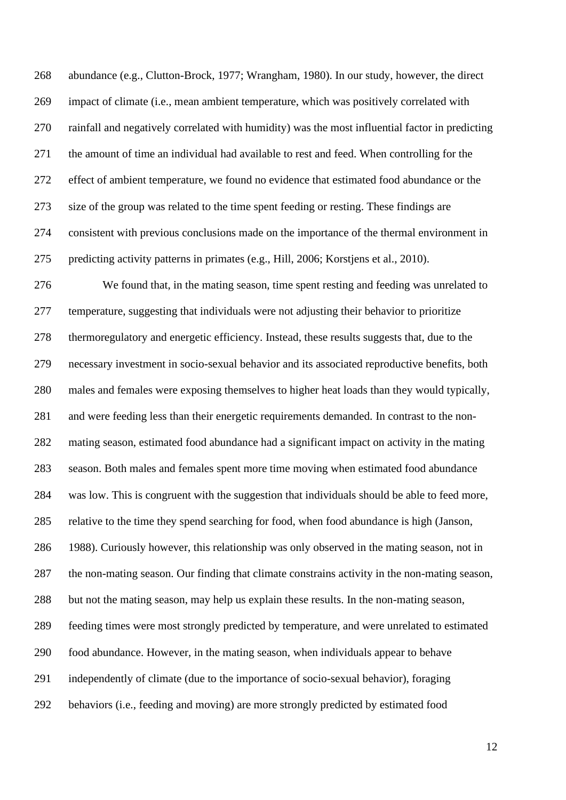abundance (e.g., Clutton-Brock, 1977; Wrangham, 1980). In our study, however, the direct impact of climate (i.e., mean ambient temperature, which was positively correlated with rainfall and negatively correlated with humidity) was the most influential factor in predicting the amount of time an individual had available to rest and feed. When controlling for the effect of ambient temperature, we found no evidence that estimated food abundance or the size of the group was related to the time spent feeding or resting. These findings are consistent with previous conclusions made on the importance of the thermal environment in predicting activity patterns in primates (e.g., Hill, 2006; Korstjens et al., 2010).

 We found that, in the mating season, time spent resting and feeding was unrelated to temperature, suggesting that individuals were not adjusting their behavior to prioritize thermoregulatory and energetic efficiency. Instead, these results suggests that, due to the necessary investment in socio-sexual behavior and its associated reproductive benefits, both males and females were exposing themselves to higher heat loads than they would typically, and were feeding less than their energetic requirements demanded. In contrast to the non- mating season, estimated food abundance had a significant impact on activity in the mating season. Both males and females spent more time moving when estimated food abundance was low. This is congruent with the suggestion that individuals should be able to feed more, relative to the time they spend searching for food, when food abundance is high (Janson, 1988). Curiously however, this relationship was only observed in the mating season, not in the non-mating season. Our finding that climate constrains activity in the non-mating season, but not the mating season, may help us explain these results. In the non-mating season, feeding times were most strongly predicted by temperature, and were unrelated to estimated food abundance. However, in the mating season, when individuals appear to behave independently of climate (due to the importance of socio-sexual behavior), foraging behaviors (i.e., feeding and moving) are more strongly predicted by estimated food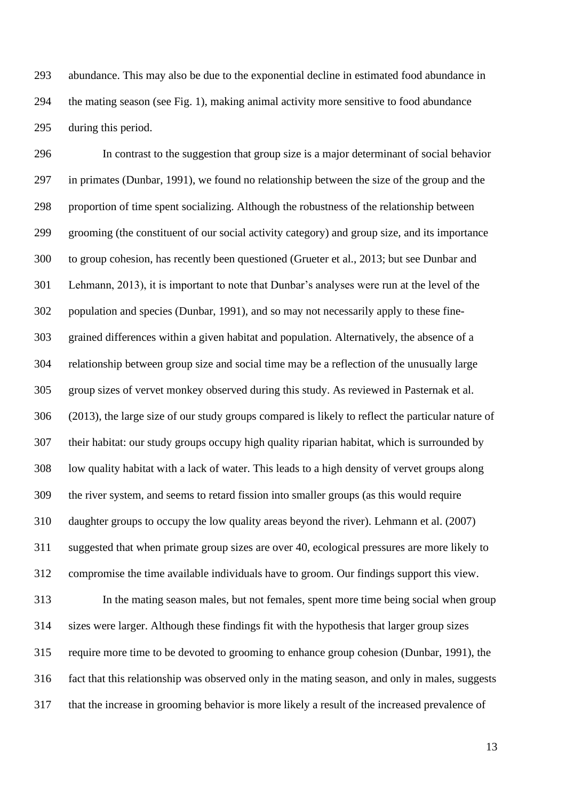abundance. This may also be due to the exponential decline in estimated food abundance in the mating season (see Fig. 1), making animal activity more sensitive to food abundance during this period.

 In contrast to the suggestion that group size is a major determinant of social behavior in primates (Dunbar, 1991), we found no relationship between the size of the group and the proportion of time spent socializing. Although the robustness of the relationship between grooming (the constituent of our social activity category) and group size, and its importance to group cohesion, has recently been questioned (Grueter et al., 2013; but see Dunbar and Lehmann, 2013), it is important to note that Dunbar's analyses were run at the level of the population and species (Dunbar, 1991), and so may not necessarily apply to these fine- grained differences within a given habitat and population. Alternatively, the absence of a relationship between group size and social time may be a reflection of the unusually large group sizes of vervet monkey observed during this study. As reviewed in Pasternak et al. (2013), the large size of our study groups compared is likely to reflect the particular nature of their habitat: our study groups occupy high quality riparian habitat, which is surrounded by low quality habitat with a lack of water. This leads to a high density of vervet groups along the river system, and seems to retard fission into smaller groups (as this would require daughter groups to occupy the low quality areas beyond the river). Lehmann et al. (2007) suggested that when primate group sizes are over 40, ecological pressures are more likely to compromise the time available individuals have to groom. Our findings support this view. In the mating season males, but not females, spent more time being social when group sizes were larger. Although these findings fit with the hypothesis that larger group sizes require more time to be devoted to grooming to enhance group cohesion (Dunbar, 1991), the fact that this relationship was observed only in the mating season, and only in males, suggests that the increase in grooming behavior is more likely a result of the increased prevalence of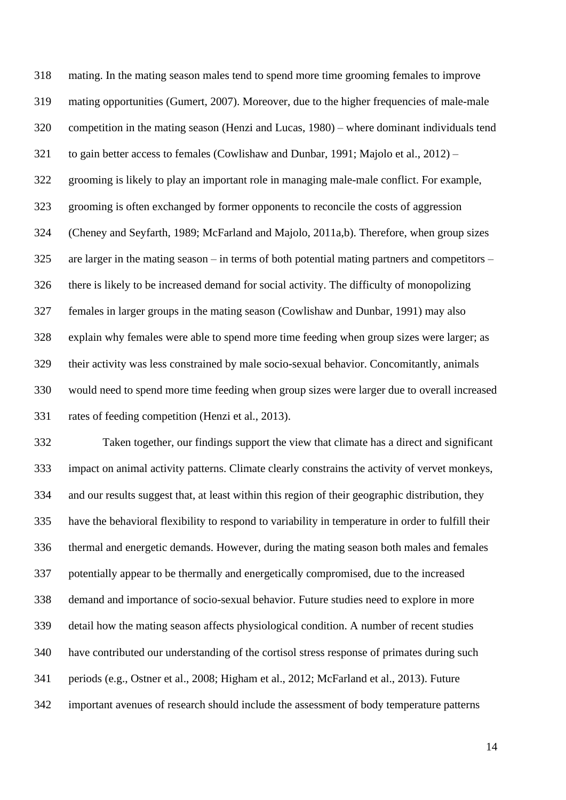mating. In the mating season males tend to spend more time grooming females to improve mating opportunities (Gumert, 2007). Moreover, due to the higher frequencies of male-male competition in the mating season (Henzi and Lucas, 1980) – where dominant individuals tend to gain better access to females (Cowlishaw and Dunbar, 1991; Majolo et al., 2012) – grooming is likely to play an important role in managing male-male conflict. For example, grooming is often exchanged by former opponents to reconcile the costs of aggression (Cheney and Seyfarth, 1989; McFarland and Majolo, 2011a,b). Therefore, when group sizes are larger in the mating season – in terms of both potential mating partners and competitors – there is likely to be increased demand for social activity. The difficulty of monopolizing females in larger groups in the mating season (Cowlishaw and Dunbar, 1991) may also explain why females were able to spend more time feeding when group sizes were larger; as their activity was less constrained by male socio-sexual behavior. Concomitantly, animals would need to spend more time feeding when group sizes were larger due to overall increased rates of feeding competition (Henzi et al., 2013).

 Taken together, our findings support the view that climate has a direct and significant impact on animal activity patterns. Climate clearly constrains the activity of vervet monkeys, and our results suggest that, at least within this region of their geographic distribution, they have the behavioral flexibility to respond to variability in temperature in order to fulfill their thermal and energetic demands. However, during the mating season both males and females potentially appear to be thermally and energetically compromised, due to the increased demand and importance of socio-sexual behavior. Future studies need to explore in more detail how the mating season affects physiological condition. A number of recent studies have contributed our understanding of the cortisol stress response of primates during such periods (e.g., Ostner et al., 2008; Higham et al., 2012; McFarland et al., 2013). Future important avenues of research should include the assessment of body temperature patterns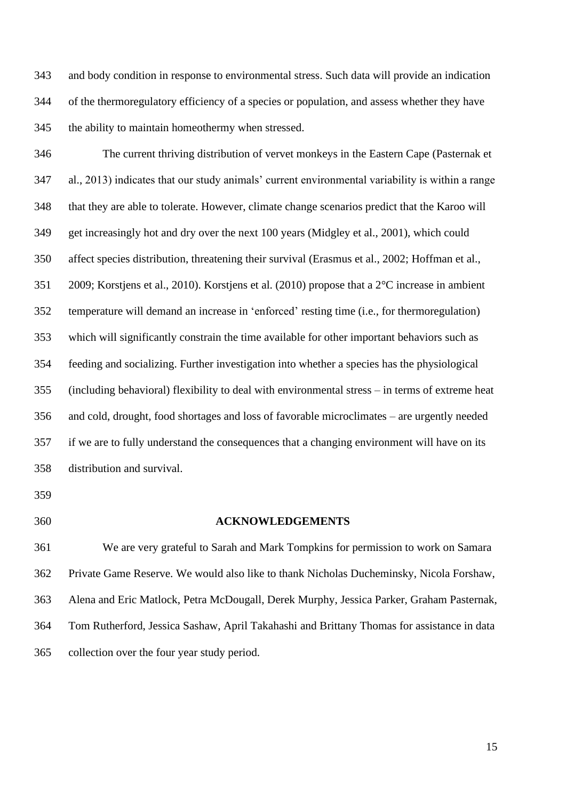and body condition in response to environmental stress. Such data will provide an indication of the thermoregulatory efficiency of a species or population, and assess whether they have the ability to maintain homeothermy when stressed.

 The current thriving distribution of vervet monkeys in the Eastern Cape (Pasternak et al., 2013) indicates that our study animals' current environmental variability is within a range that they are able to tolerate. However, climate change scenarios predict that the Karoo will get increasingly hot and dry over the next 100 years (Midgley et al., 2001), which could affect species distribution, threatening their survival (Erasmus et al., 2002; Hoffman et al., 2009; Korstjens et al., 2010). Korstjens et al. (2010) propose that a 2°C increase in ambient temperature will demand an increase in 'enforced' resting time (i.e., for thermoregulation) which will significantly constrain the time available for other important behaviors such as feeding and socializing. Further investigation into whether a species has the physiological (including behavioral) flexibility to deal with environmental stress – in terms of extreme heat and cold, drought, food shortages and loss of favorable microclimates – are urgently needed if we are to fully understand the consequences that a changing environment will have on its distribution and survival.

## **ACKNOWLEDGEMENTS**

 We are very grateful to Sarah and Mark Tompkins for permission to work on Samara Private Game Reserve. We would also like to thank Nicholas Ducheminsky, Nicola Forshaw, Alena and Eric Matlock, Petra McDougall, Derek Murphy, Jessica Parker, Graham Pasternak, Tom Rutherford, Jessica Sashaw, April Takahashi and Brittany Thomas for assistance in data collection over the four year study period.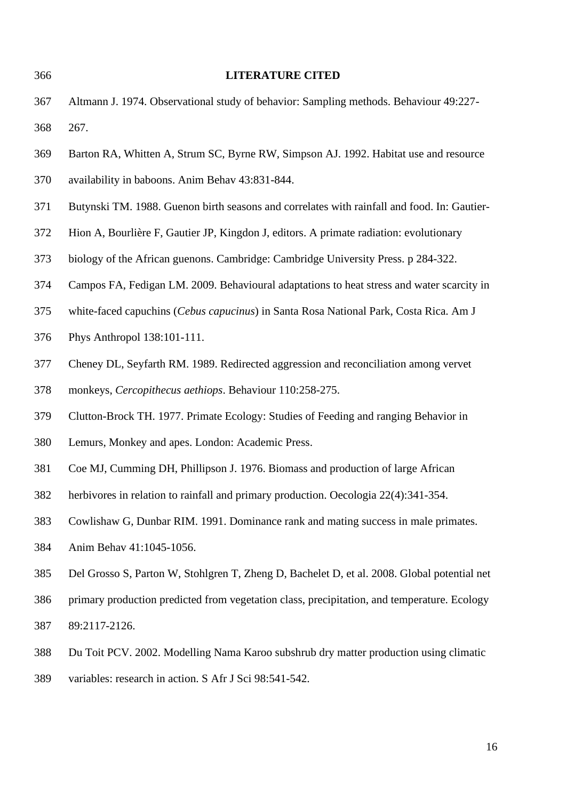Altmann J. 1974. Observational study of behavior: Sampling methods. Behaviour 49:227- 267. Barton RA, Whitten A, Strum SC, Byrne RW, Simpson AJ. 1992. Habitat use and resource availability in baboons. Anim Behav 43:831-844. Butynski TM. 1988. Guenon birth seasons and correlates with rainfall and food. In: Gautier- Hion A, Bourlière F, Gautier JP, Kingdon J, editors. A primate radiation: evolutionary biology of the African guenons. Cambridge: Cambridge University Press. p 284-322. Campos FA, Fedigan LM. 2009. Behavioural adaptations to heat stress and water scarcity in white-faced capuchins (*Cebus capucinus*) in Santa Rosa National Park, Costa Rica. Am J Phys Anthropol 138:101-111. Cheney DL, Seyfarth RM. 1989. Redirected aggression and reconciliation among vervet monkeys, *Cercopithecus aethiops*. Behaviour 110:258-275. Clutton-Brock TH. 1977. Primate Ecology: Studies of Feeding and ranging Behavior in Lemurs, Monkey and apes. London: Academic Press. Coe MJ, Cumming DH, Phillipson J. 1976. Biomass and production of large African herbivores in relation to rainfall and primary production. Oecologia 22(4):341-354. Cowlishaw G, Dunbar RIM. 1991. Dominance rank and mating success in male primates. Anim Behav 41:1045-1056. Del Grosso S, Parton W, Stohlgren T, Zheng D, Bachelet D, et al. 2008. Global potential net primary production predicted from vegetation class, precipitation, and temperature. Ecology 89:2117-2126. Du Toit PCV. 2002. Modelling Nama Karoo subshrub dry matter production using climatic variables: research in action. S Afr J Sci 98:541-542.

**LITERATURE CITED**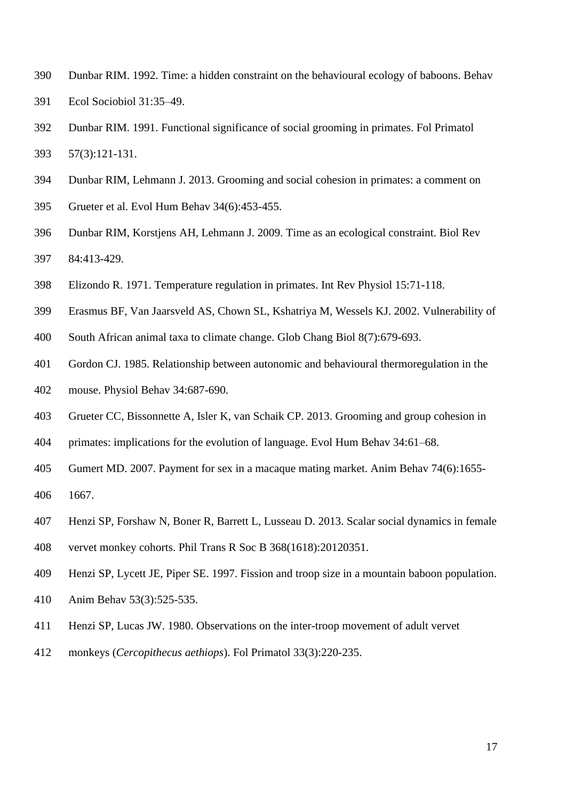- Dunbar RIM. 1992. Time: a hidden constraint on the behavioural ecology of baboons. Behav Ecol Sociobiol 31:35–49.
- Dunbar RIM. 1991. Functional significance of social grooming in primates. Fol Primatol 57(3):121-131.
- Dunbar RIM, Lehmann J. 2013. Grooming and social cohesion in primates: a comment on
- Grueter et al. Evol Hum Behav 34(6):453-455.
- Dunbar RIM, Korstjens AH, Lehmann J. 2009. Time as an ecological constraint. Biol Rev 84:413-429.
- Elizondo R. 1971. Temperature regulation in primates. Int Rev Physiol 15:71-118.
- Erasmus BF, Van Jaarsveld AS, Chown SL, Kshatriya M, Wessels KJ. 2002. Vulnerability of
- South African animal taxa to climate change. Glob Chang Biol 8(7):679-693.
- Gordon CJ. 1985. Relationship between autonomic and behavioural thermoregulation in the
- mouse. Physiol Behav 34:687-690.
- Grueter CC, Bissonnette A, Isler K, van Schaik CP. 2013. Grooming and group cohesion in
- primates: implications for the evolution of language. Evol Hum Behav 34:61–68.
- Gumert MD. 2007. Payment for sex in a macaque mating market. Anim Behav 74(6):1655-
- 1667.
- Henzi SP, Forshaw N, Boner R, Barrett L, Lusseau D. 2013. Scalar social dynamics in female
- vervet monkey cohorts. Phil Trans R Soc B 368(1618):20120351.
- Henzi SP, Lycett JE, Piper SE. 1997. Fission and troop size in a mountain baboon population.
- Anim Behav 53(3):525-535.
- Henzi SP, Lucas JW. 1980. Observations on the inter-troop movement of adult vervet
- monkeys (*Cercopithecus aethiops*). Fol Primatol 33(3):220-235.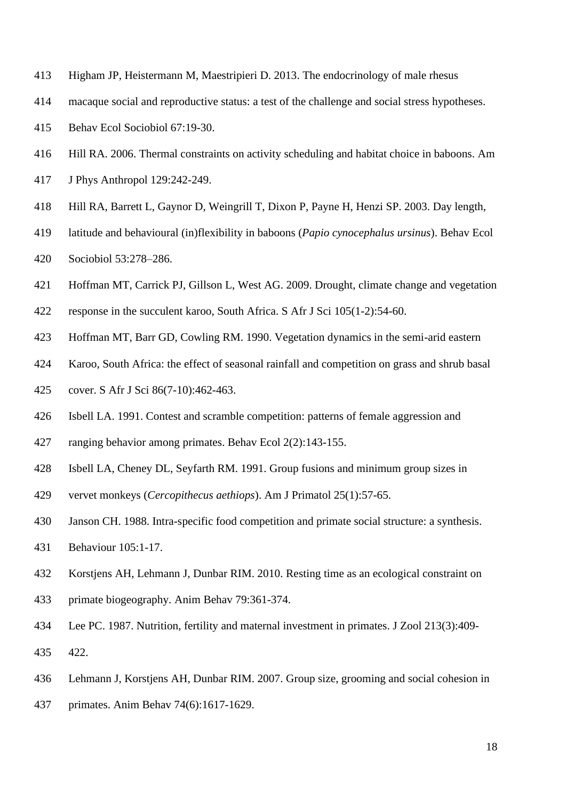- Higham JP, Heistermann M, Maestripieri D. 2013. The endocrinology of male rhesus
- macaque social and reproductive status: a test of the challenge and social stress hypotheses.
- Behav Ecol Sociobiol 67:19-30.
- Hill RA. 2006. Thermal constraints on activity scheduling and habitat choice in baboons. Am
- J Phys Anthropol 129:242-249.
- Hill RA, Barrett L, Gaynor D, Weingrill T, Dixon P, Payne H, Henzi SP. 2003. Day length,
- latitude and behavioural (in)flexibility in baboons (*Papio cynocephalus ursinus*). Behav Ecol Sociobiol 53:278–286.
- Hoffman MT, Carrick PJ, Gillson L, West AG. 2009. Drought, climate change and vegetation
- response in the succulent karoo, South Africa. S Afr J Sci 105(1-2):54-60.
- Hoffman MT, Barr GD, Cowling RM. 1990. Vegetation dynamics in the semi-arid eastern
- Karoo, South Africa: the effect of seasonal rainfall and competition on grass and shrub basal
- cover. S Afr J Sci 86(7-10):462-463.
- Isbell LA. 1991. Contest and scramble competition: patterns of female aggression and
- ranging behavior among primates. Behav Ecol 2(2):143-155.
- Isbell LA, Cheney DL, Seyfarth RM. 1991. Group fusions and minimum group sizes in
- vervet monkeys (*Cercopithecus aethiops*). Am J Primatol 25(1):57-65.
- Janson CH. 1988. Intra-specific food competition and primate social structure: a synthesis.
- Behaviour 105:1-17.
- Korstjens AH, Lehmann J, Dunbar RIM. 2010. Resting time as an ecological constraint on
- primate biogeography. Anim Behav 79:361-374.
- Lee PC. 1987. Nutrition, fertility and maternal investment in primates. J Zool 213(3):409- 422.
- Lehmann J, Korstjens AH, Dunbar RIM. 2007. Group size, grooming and social cohesion in
- primates. Anim Behav 74(6):1617-1629.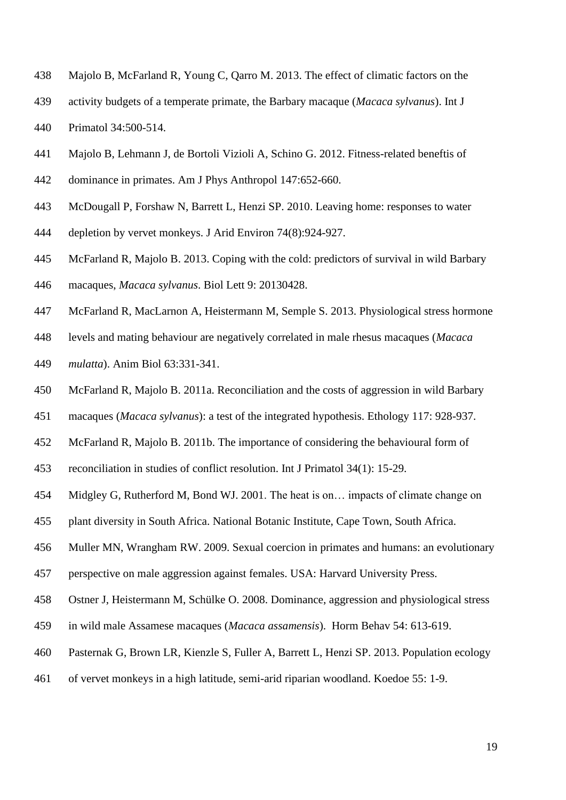- Majolo B, McFarland R, Young C, Qarro M. 2013. The effect of climatic factors on the
- activity budgets of a temperate primate, the Barbary macaque (*Macaca sylvanus*). Int J Primatol 34:500-514.
- Majolo B, Lehmann J, de Bortoli Vizioli A, Schino G. 2012. Fitness-related beneftis of
- dominance in primates. Am J Phys Anthropol 147:652-660.
- McDougall P, Forshaw N, Barrett L, Henzi SP. 2010. Leaving home: responses to water
- depletion by vervet monkeys. J Arid Environ 74(8):924-927.
- McFarland R, Majolo B. 2013. Coping with the cold: predictors of survival in wild Barbary macaques, *Macaca sylvanus*. Biol Lett 9: 20130428.
- McFarland R, MacLarnon A, Heistermann M, Semple S. 2013. Physiological stress hormone
- levels and mating behaviour are negatively correlated in male rhesus macaques (*Macaca*
- *mulatta*). Anim Biol 63:331-341.
- McFarland R, Majolo B. 2011a. Reconciliation and the costs of aggression in wild Barbary
- macaques (*Macaca sylvanus*): a test of the integrated hypothesis. Ethology 117: 928-937.
- McFarland R, Majolo B. 2011b. The importance of considering the behavioural form of
- reconciliation in studies of conflict resolution. Int J Primatol 34(1): 15-29.
- Midgley G, Rutherford M, Bond WJ. 2001. The heat is on… impacts of climate change on
- plant diversity in South Africa. National Botanic Institute, Cape Town, South Africa.
- Muller MN, Wrangham RW. 2009. Sexual coercion in primates and humans: an evolutionary
- perspective on male aggression against females. USA: Harvard University Press.
- Ostner J, Heistermann M, Schülke O. 2008. Dominance, aggression and physiological stress
- in wild male Assamese macaques (*Macaca assamensis*). Horm Behav 54: 613-619.
- Pasternak G, Brown LR, Kienzle S, Fuller A, Barrett L, Henzi SP. 2013. Population ecology
- of vervet monkeys in a high latitude, semi-arid riparian woodland. Koedoe 55: 1-9.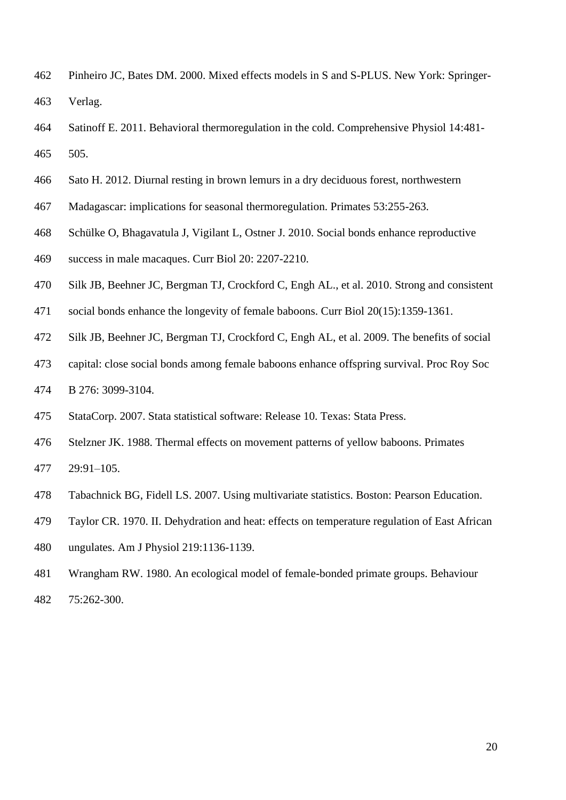- Pinheiro JC, Bates DM. 2000. Mixed effects models in S and S-PLUS. New York: Springer-Verlag.
- Satinoff E. 2011. Behavioral thermoregulation in the cold. Comprehensive Physiol 14:481- 505.
- Sato H. 2012. Diurnal resting in brown lemurs in a dry deciduous forest, northwestern
- Madagascar: implications for seasonal thermoregulation. Primates 53:255-263.
- Schülke O, Bhagavatula J, Vigilant L, Ostner J. 2010. Social bonds enhance reproductive
- success in male macaques. Curr Biol 20: 2207-2210.
- Silk JB, Beehner JC, Bergman TJ, Crockford C, Engh AL., et al. 2010. Strong and consistent
- social bonds enhance the longevity of female baboons. Curr Biol 20(15):1359-1361.
- Silk JB, Beehner JC, Bergman TJ, Crockford C, Engh AL, et al. 2009. The benefits of social
- capital: close social bonds among female baboons enhance offspring survival. Proc Roy Soc B 276: 3099-3104.
- 
- StataCorp. 2007. Stata statistical software: Release 10. Texas: Stata Press.
- Stelzner JK. 1988. Thermal effects on movement patterns of yellow baboons. Primates
- 29:91–105.
- Tabachnick BG, Fidell LS. 2007. Using multivariate statistics. Boston: Pearson Education.
- Taylor CR. 1970. II. Dehydration and heat: effects on temperature regulation of East African
- ungulates. Am J Physiol 219:1136-1139.
- Wrangham RW. 1980. An ecological model of female-bonded primate groups. Behaviour 75:262-300.